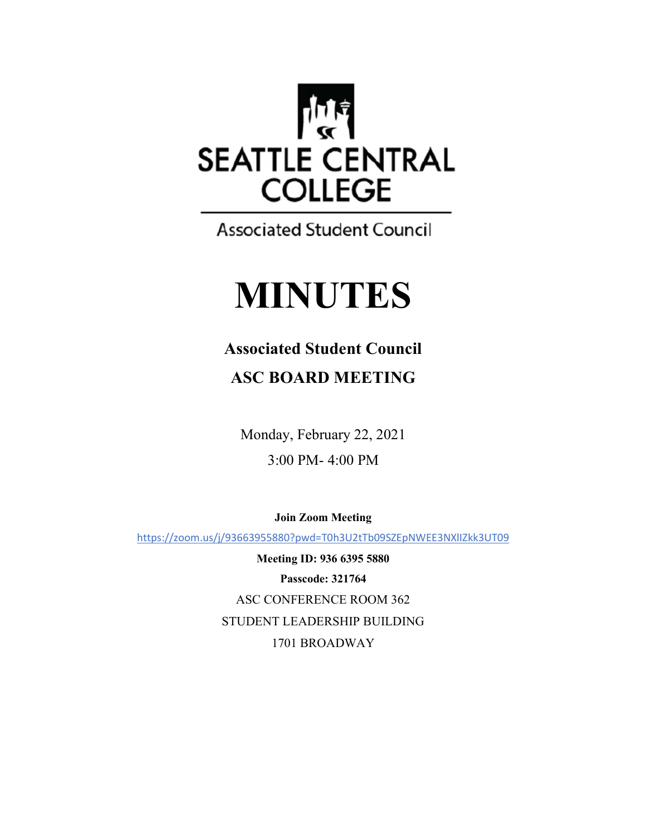

**Associated Student Council** 

# MINUTES

# Associated Student Council

## ASC BOARD MEETING

Monday, February 22, 2021 3:00 PM- 4:00 PM

Join Zoom Meeting https://zoom.us/j/93663955880?pwd=T0h3U2tTb09SZEpNWEE3NXlIZkk3UT09

> Meeting ID: 936 6395 5880 Passcode: 321764 ASC CONFERENCE ROOM 362 STUDENT LEADERSHIP BUILDING 1701 BROADWAY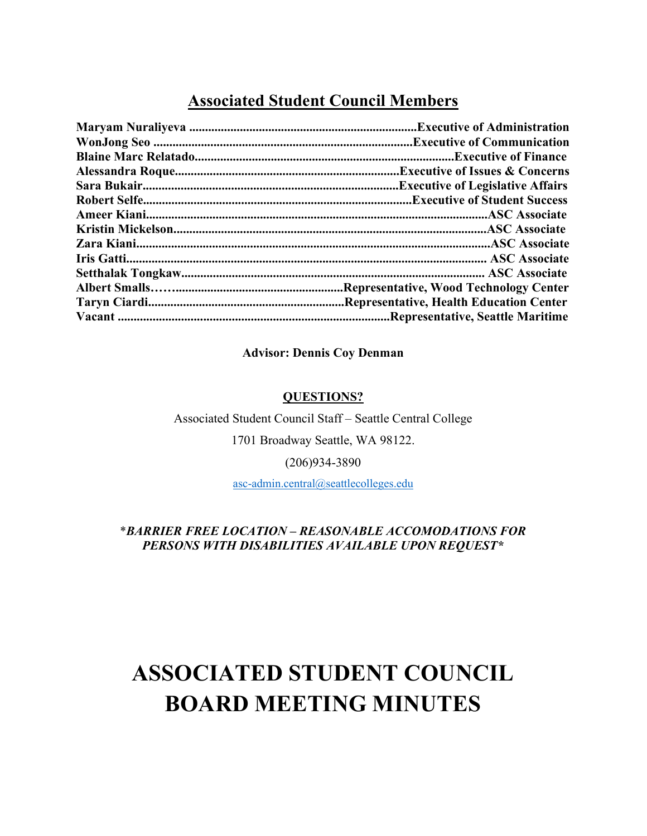### Associated Student Council Members

| Executive of Issues & Concerns.                 |
|-------------------------------------------------|
| <b>Executive of Legislative Affairs</b>         |
|                                                 |
|                                                 |
|                                                 |
|                                                 |
|                                                 |
|                                                 |
| Representative, Wood Technology Center          |
| <b>Representative, Health Education Center.</b> |
| Representative, Seattle Maritime.               |

#### Advisor: Dennis Coy Denman

#### QUESTIONS?

Associated Student Council Staff – Seattle Central College

1701 Broadway Seattle, WA 98122.

(206)934-3890

asc-admin.central@seattlecolleges.edu

#### \*BARRIER FREE LOCATION – REASONABLE ACCOMODATIONS FOR PERSONS WITH DISABILITIES AVAILABLE UPON REQUEST\*

# ASSOCIATED STUDENT COUNCIL BOARD MEETING MINUTES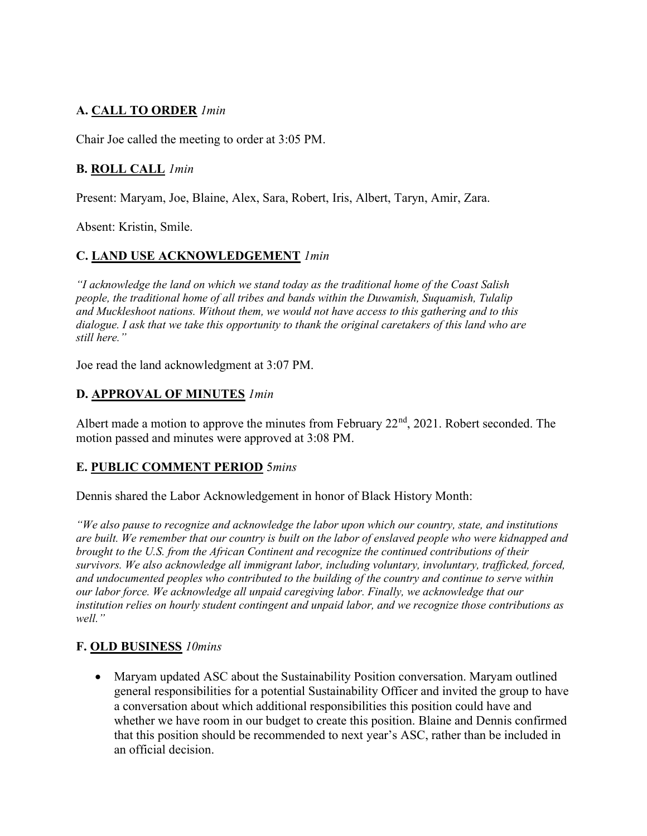#### A. CALL TO ORDER 1 min

Chair Joe called the meeting to order at 3:05 PM.

#### B. ROLL CALL 1min

Present: Maryam, Joe, Blaine, Alex, Sara, Robert, Iris, Albert, Taryn, Amir, Zara.

Absent: Kristin, Smile.

#### C. LAND USE ACKNOWLEDGEMENT 1min

"I acknowledge the land on which we stand today as the traditional home of the Coast Salish people, the traditional home of all tribes and bands within the Duwamish, Suquamish, Tulalip and Muckleshoot nations. Without them, we would not have access to this gathering and to this dialogue. I ask that we take this opportunity to thank the original caretakers of this land who are still here."

Joe read the land acknowledgment at 3:07 PM.

#### D. APPROVAL OF MINUTES 1min

Albert made a motion to approve the minutes from February  $22<sup>nd</sup>$ ,  $2021$ . Robert seconded. The motion passed and minutes were approved at 3:08 PM.

#### E. PUBLIC COMMENT PERIOD 5mins

Dennis shared the Labor Acknowledgement in honor of Black History Month:

"We also pause to recognize and acknowledge the labor upon which our country, state, and institutions are built. We remember that our country is built on the labor of enslaved people who were kidnapped and brought to the U.S. from the African Continent and recognize the continued contributions of their survivors. We also acknowledge all immigrant labor, including voluntary, involuntary, trafficked, forced, and undocumented peoples who contributed to the building of the country and continue to serve within our labor force. We acknowledge all unpaid caregiving labor. Finally, we acknowledge that our institution relies on hourly student contingent and unpaid labor, and we recognize those contributions as well."

#### F. OLD BUSINESS 10mins

 Maryam updated ASC about the Sustainability Position conversation. Maryam outlined general responsibilities for a potential Sustainability Officer and invited the group to have a conversation about which additional responsibilities this position could have and whether we have room in our budget to create this position. Blaine and Dennis confirmed that this position should be recommended to next year's ASC, rather than be included in an official decision.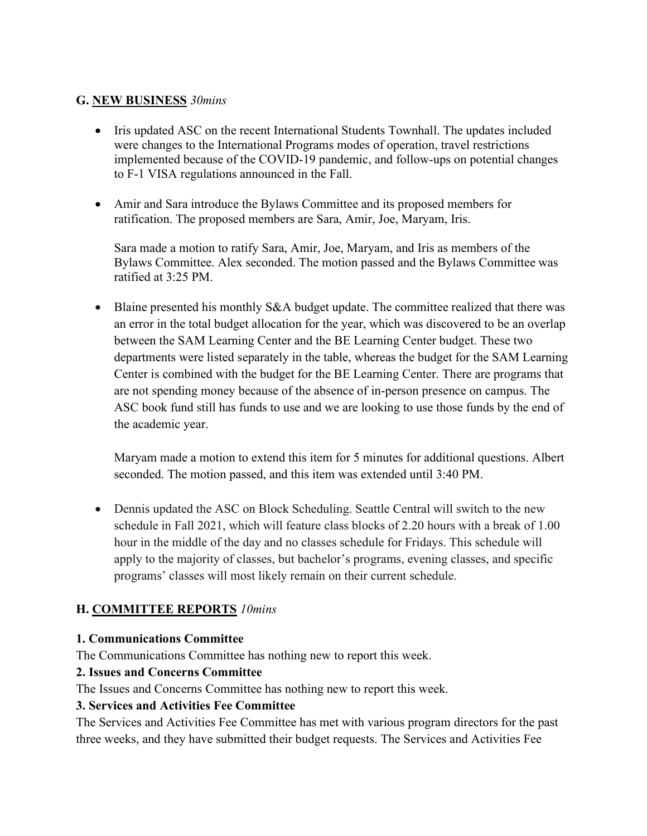#### G. NEW BUSINESS 30mins

- Iris updated ASC on the recent International Students Townhall. The updates included were changes to the International Programs modes of operation, travel restrictions implemented because of the COVID-19 pandemic, and follow-ups on potential changes to F-1 VISA regulations announced in the Fall.
- Amir and Sara introduce the Bylaws Committee and its proposed members for ratification. The proposed members are Sara, Amir, Joe, Maryam, Iris.

Sara made a motion to ratify Sara, Amir, Joe, Maryam, and Iris as members of the Bylaws Committee. Alex seconded. The motion passed and the Bylaws Committee was ratified at 3:25 PM.

• Blaine presented his monthly S&A budget update. The committee realized that there was an error in the total budget allocation for the year, which was discovered to be an overlap between the SAM Learning Center and the BE Learning Center budget. These two departments were listed separately in the table, whereas the budget for the SAM Learning Center is combined with the budget for the BE Learning Center. There are programs that are not spending money because of the absence of in-person presence on campus. The ASC book fund still has funds to use and we are looking to use those funds by the end of the academic year.

Maryam made a motion to extend this item for 5 minutes for additional questions. Albert seconded. The motion passed, and this item was extended until 3:40 PM.

• Dennis updated the ASC on Block Scheduling. Seattle Central will switch to the new schedule in Fall 2021, which will feature class blocks of 2.20 hours with a break of 1.00 hour in the middle of the day and no classes schedule for Fridays. This schedule will apply to the majority of classes, but bachelor's programs, evening classes, and specific programs' classes will most likely remain on their current schedule.

#### H. COMMITTEE REPORTS 10mins

#### 1. Communications Committee

The Communications Committee has nothing new to report this week.

#### 2. Issues and Concerns Committee

The Issues and Concerns Committee has nothing new to report this week.

#### 3. Services and Activities Fee Committee

The Services and Activities Fee Committee has met with various program directors for the past three weeks, and they have submitted their budget requests. The Services and Activities Fee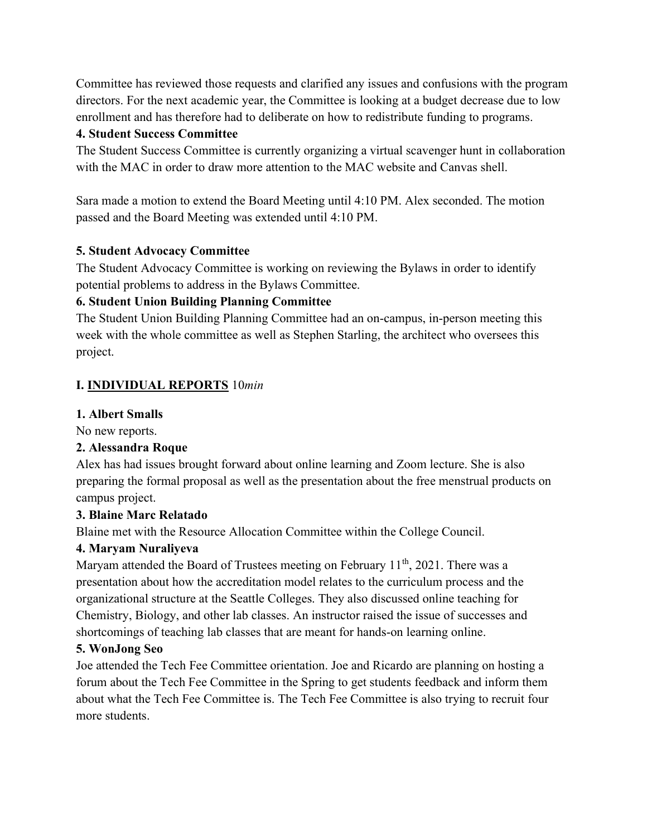Committee has reviewed those requests and clarified any issues and confusions with the program directors. For the next academic year, the Committee is looking at a budget decrease due to low enrollment and has therefore had to deliberate on how to redistribute funding to programs.

#### 4. Student Success Committee

The Student Success Committee is currently organizing a virtual scavenger hunt in collaboration with the MAC in order to draw more attention to the MAC website and Canvas shell.

Sara made a motion to extend the Board Meeting until 4:10 PM. Alex seconded. The motion passed and the Board Meeting was extended until 4:10 PM.

#### 5. Student Advocacy Committee

The Student Advocacy Committee is working on reviewing the Bylaws in order to identify potential problems to address in the Bylaws Committee.

#### 6. Student Union Building Planning Committee

The Student Union Building Planning Committee had an on-campus, in-person meeting this week with the whole committee as well as Stephen Starling, the architect who oversees this project.

#### I. INDIVIDUAL REPORTS 10min

#### 1. Albert Smalls

No new reports.

#### 2. Alessandra Roque

Alex has had issues brought forward about online learning and Zoom lecture. She is also preparing the formal proposal as well as the presentation about the free menstrual products on campus project.

#### 3. Blaine Marc Relatado

Blaine met with the Resource Allocation Committee within the College Council.

#### 4. Maryam Nuraliyeva

Maryam attended the Board of Trustees meeting on February  $11<sup>th</sup>$ , 2021. There was a presentation about how the accreditation model relates to the curriculum process and the organizational structure at the Seattle Colleges. They also discussed online teaching for Chemistry, Biology, and other lab classes. An instructor raised the issue of successes and shortcomings of teaching lab classes that are meant for hands-on learning online.

#### 5. WonJong Seo

Joe attended the Tech Fee Committee orientation. Joe and Ricardo are planning on hosting a forum about the Tech Fee Committee in the Spring to get students feedback and inform them about what the Tech Fee Committee is. The Tech Fee Committee is also trying to recruit four more students.